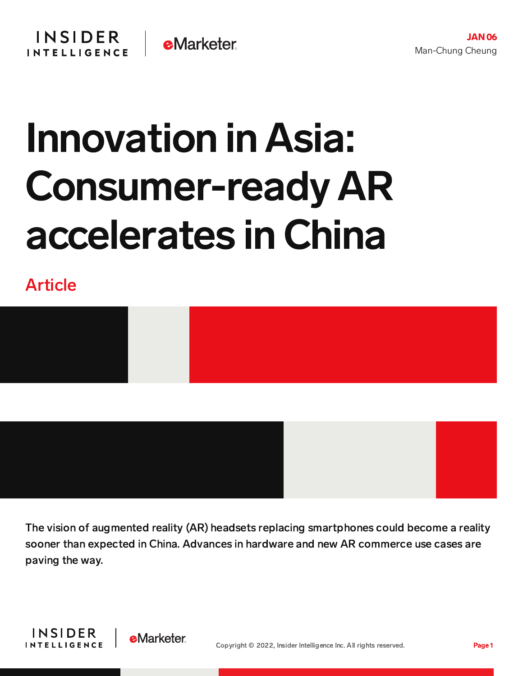## Innovation in Asia: Consumer-ready AR accelerates in China

Article



The vision of augmented reality (AR) headsets replacing smartphones could become a reality sooner than expected in China. Advances in hardware and new AR commerce use cases are paving the way.



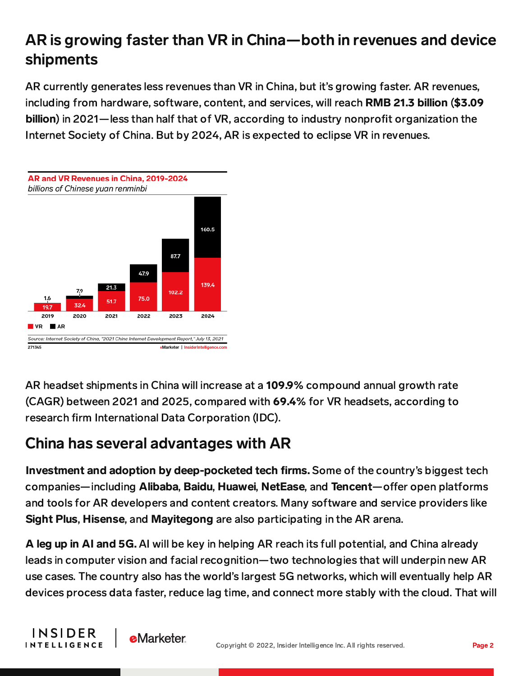## AR is growing faster than VR in China—both in revenues and device shipments

AR currently generates less revenues than VR in China, but it's growing faster. AR revenues, including from hardware, software, content, and services, will reach RMB 21.3 billion (\$3.09 billion) in 2021—less than half that of VR, according to industry nonprofit organization the Internet Society of China. But by 2024, AR is expected to eclipse VR in revenues.



AR headset shipments in China will increase at a 109.9% compound annual growth rate (CAGR) between 2021 and 2025, compared with 69.4% for VR headsets, according to research firm International Data Corporation (IDC).

## China has several advantages with AR

**e**Marketer

**INSIDER** 

**INTELLIGENCE** 

Investment and adoption by deep-pocketed tech firms. Some of the country's biggest tech companies—including Alibaba, Baidu, Huawei, NetEase, and Tencent—offer open platforms and tools for AR developers and content creators. Many software and service providers like Sight Plus, Hisense, and Mayitegong are also participating in the AR arena.

A leg up in AI and 5G. AI will be key in helping AR reach its full potential, and China already leads in computer vision and facial recognition—two technologies that will underpin new AR use cases. The country also has the world's largest 5G networks, which will eventually help AR devices process data faster, reduce lag time, and connect more stably with the cloud. That will